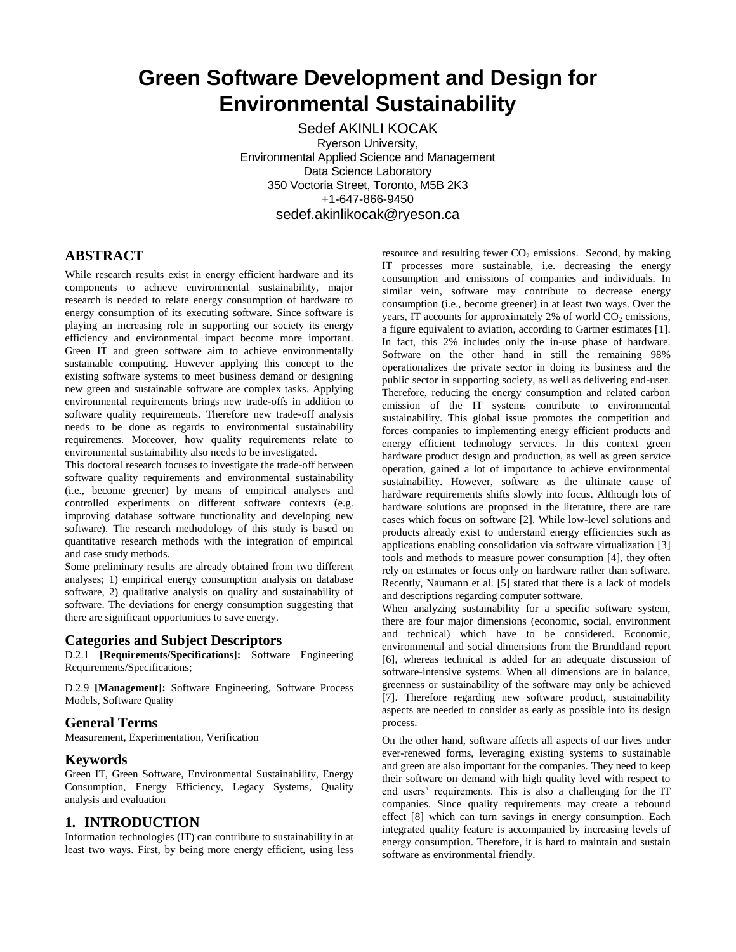# **Green Software Development and Design for Environmental Sustainability**

Sedef AKINLI KOCAK Ryerson University, Environmental Applied Science and Management Data Science Laboratory 350 Voctoria Street, Toronto, M5B 2K3 +1-647-866-9450 sedef.akinlikocak@ryeson.ca

# **ABSTRACT**

While research results exist in energy efficient hardware and its components to achieve environmental sustainability, major research is needed to relate energy consumption of hardware to energy consumption of its executing software. Since software is playing an increasing role in supporting our society its energy efficiency and environmental impact become more important. Green IT and green software aim to achieve environmentally sustainable computing. However applying this concept to the existing software systems to meet business demand or designing new green and sustainable software are complex tasks. Applying environmental requirements brings new trade-offs in addition to software quality requirements. Therefore new trade-off analysis needs to be done as regards to environmental sustainability requirements. Moreover, how quality requirements relate to environmental sustainability also needs to be investigated.

This doctoral research focuses to investigate the trade-off between software quality requirements and environmental sustainability (i.e., become greener) by means of empirical analyses and controlled experiments on different software contexts (e.g. improving database software functionality and developing new software). The research methodology of this study is based on quantitative research methods with the integration of empirical and case study methods.

Some preliminary results are already obtained from two different analyses; 1) empirical energy consumption analysis on database software, 2) qualitative analysis on quality and sustainability of software. The deviations for energy consumption suggesting that there are significant opportunities to save energy.

# **Categories and Subject Descriptors**

D.2.1 **[Requirements/Specifications]:** Software Engineering Requirements/Specifications;

D.2.9 **[Management]:** Software Engineering, Software Process Models, Software Quality

# **General Terms**

Measurement, Experimentation, Verification

# **Keywords**

Green IT, Green Software, Environmental Sustainability, Energy Consumption, Energy Efficiency, Legacy Systems, Quality analysis and evaluation

# **1. INTRODUCTION**

Information technologies (IT) can contribute to sustainability in at least two ways. First, by being more energy efficient, using less resource and resulting fewer  $CO<sub>2</sub>$  emissions. Second, by making IT processes more sustainable, i.e. decreasing the energy consumption and emissions of companies and individuals. In similar vein, software may contribute to decrease energy consumption (i.e., become greener) in at least two ways. Over the years, IT accounts for approximately 2% of world  $CO<sub>2</sub>$  emissions, a figure equivalent to aviation, according to Gartner estimates [1]. In fact, this 2% includes only the in-use phase of hardware. Software on the other hand in still the remaining 98% operationalizes the private sector in doing its business and the public sector in supporting society, as well as delivering end-user. Therefore, reducing the energy consumption and related carbon emission of the IT systems contribute to environmental sustainability. This global issue promotes the competition and forces companies to implementing energy efficient products and energy efficient technology services. In this context green hardware product design and production, as well as green service operation, gained a lot of importance to achieve environmental sustainability. However, software as the ultimate cause of hardware requirements shifts slowly into focus. Although lots of hardware solutions are proposed in the literature, there are rare cases which focus on software [2]. While low-level solutions and products already exist to understand energy efficiencies such as applications enabling consolidation via software virtualization [3] tools and methods to measure power consumption [4], they often rely on estimates or focus only on hardware rather than software. Recently, Naumann et al. [5] stated that there is a lack of models and descriptions regarding computer software.

When analyzing sustainability for a specific software system, there are four major dimensions (economic, social, environment and technical) which have to be considered. Economic, environmental and social dimensions from the Brundtland report [6], whereas technical is added for an adequate discussion of software-intensive systems. When all dimensions are in balance, greenness or sustainability of the software may only be achieved [7]. Therefore regarding new software product, sustainability aspects are needed to consider as early as possible into its design process.

On the other hand, software affects all aspects of our lives under ever-renewed forms, leveraging existing systems to sustainable and green are also important for the companies. They need to keep their software on demand with high quality level with respect to end users' requirements. This is also a challenging for the IT companies. Since quality requirements may create a rebound effect [8] which can turn savings in energy consumption. Each integrated quality feature is accompanied by increasing levels of energy consumption. Therefore, it is hard to maintain and sustain software as environmental friendly.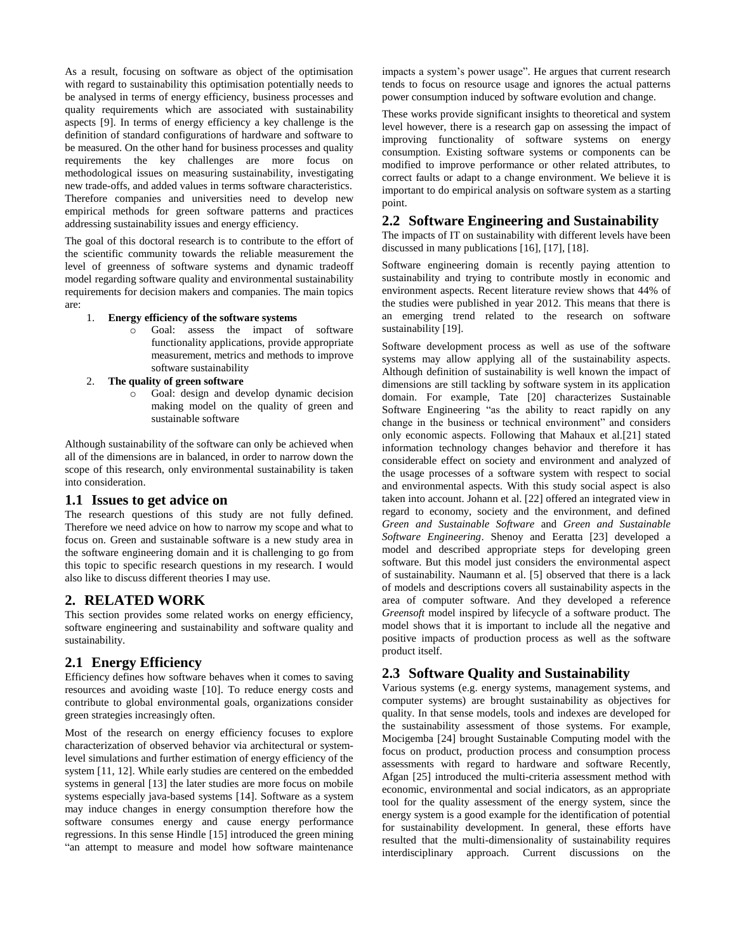As a result, focusing on software as object of the optimisation with regard to sustainability this optimisation potentially needs to be analysed in terms of energy efficiency, business processes and quality requirements which are associated with sustainability aspects [9]. In terms of energy efficiency a key challenge is the definition of standard configurations of hardware and software to be measured. On the other hand for business processes and quality requirements the key challenges are more focus on methodological issues on measuring sustainability, investigating new trade-offs, and added values in terms software characteristics. Therefore companies and universities need to develop new empirical methods for green software patterns and practices addressing sustainability issues and energy efficiency.

The goal of this doctoral research is to contribute to the effort of the scientific community towards the reliable measurement the level of greenness of software systems and dynamic tradeoff model regarding software quality and environmental sustainability requirements for decision makers and companies. The main topics are:

- 1. **Energy efficiency of the software systems**
	- o Goal: assess the impact of software functionality applications, provide appropriate measurement, metrics and methods to improve software sustainability
- 2. **The quality of green software**
	- o Goal: design and develop dynamic decision making model on the quality of green and sustainable software

Although sustainability of the software can only be achieved when all of the dimensions are in balanced, in order to narrow down the scope of this research, only environmental sustainability is taken into consideration.

#### **1.1 Issues to get advice on**

The research questions of this study are not fully defined. Therefore we need advice on how to narrow my scope and what to focus on. Green and sustainable software is a new study area in the software engineering domain and it is challenging to go from this topic to specific research questions in my research. I would also like to discuss different theories I may use.

#### **2. RELATED WORK**

This section provides some related works on energy efficiency, software engineering and sustainability and software quality and sustainability.

# **2.1 Energy Efficiency**

Efficiency defines how software behaves when it comes to saving resources and avoiding waste [10]. To reduce energy costs and contribute to global environmental goals, organizations consider green strategies increasingly often.

Most of the research on energy efficiency focuses to explore characterization of observed behavior via architectural or systemlevel simulations and further estimation of energy efficiency of the system [11, 12]. While early studies are centered on the embedded systems in general [13] the later studies are more focus on mobile systems especially java-based systems [14]. Software as a system may induce changes in energy consumption therefore how the software consumes energy and cause energy performance regressions. In this sense Hindle [15] introduced the green mining "an attempt to measure and model how software maintenance

impacts a system's power usage". He argues that current research tends to focus on resource usage and ignores the actual patterns power consumption induced by software evolution and change.

These works provide significant insights to theoretical and system level however, there is a research gap on assessing the impact of improving functionality of software systems on energy consumption. Existing software systems or components can be modified to improve performance or other related attributes, to correct faults or adapt to a change environment. We believe it is important to do empirical analysis on software system as a starting point.

#### **2.2 Software Engineering and Sustainability**

The impacts of IT on sustainability with different levels have been discussed in many publications [16], [17], [18].

Software engineering domain is recently paying attention to sustainability and trying to contribute mostly in economic and environment aspects. Recent literature review shows that 44% of the studies were published in year 2012. This means that there is an emerging trend related to the research on software sustainability [19].

Software development process as well as use of the software systems may allow applying all of the sustainability aspects. Although definition of sustainability is well known the impact of dimensions are still tackling by software system in its application domain. For example, Tate [20] characterizes Sustainable Software Engineering "as the ability to react rapidly on any change in the business or technical environment" and considers only economic aspects. Following that Mahaux et al.[21] stated information technology changes behavior and therefore it has considerable effect on society and environment and analyzed of the usage processes of a software system with respect to social and environmental aspects. With this study social aspect is also taken into account. Johann et al. [22] offered an integrated view in regard to economy, society and the environment, and defined *Green and Sustainable Software* and *Green and Sustainable Software Engineering*. Shenoy and Eeratta [23] developed a model and described appropriate steps for developing green software. But this model just considers the environmental aspect of sustainability. Naumann et al. [5] observed that there is a lack of models and descriptions covers all sustainability aspects in the area of computer software. And they developed a reference *Greensoft* model inspired by lifecycle of a software product. The model shows that it is important to include all the negative and positive impacts of production process as well as the software product itself.

# **2.3 Software Quality and Sustainability**

Various systems (e.g. energy systems, management systems, and computer systems) are brought sustainability as objectives for quality. In that sense models, tools and indexes are developed for the sustainability assessment of those systems. For example, Mocigemba [24] brought Sustainable Computing model with the focus on product, production process and consumption process assessments with regard to hardware and software Recently, Afgan [25] introduced the multi-criteria assessment method with economic, environmental and social indicators, as an appropriate tool for the quality assessment of the energy system, since the energy system is a good example for the identification of potential for sustainability development. In general, these efforts have resulted that the multi-dimensionality of sustainability requires interdisciplinary approach. Current discussions on the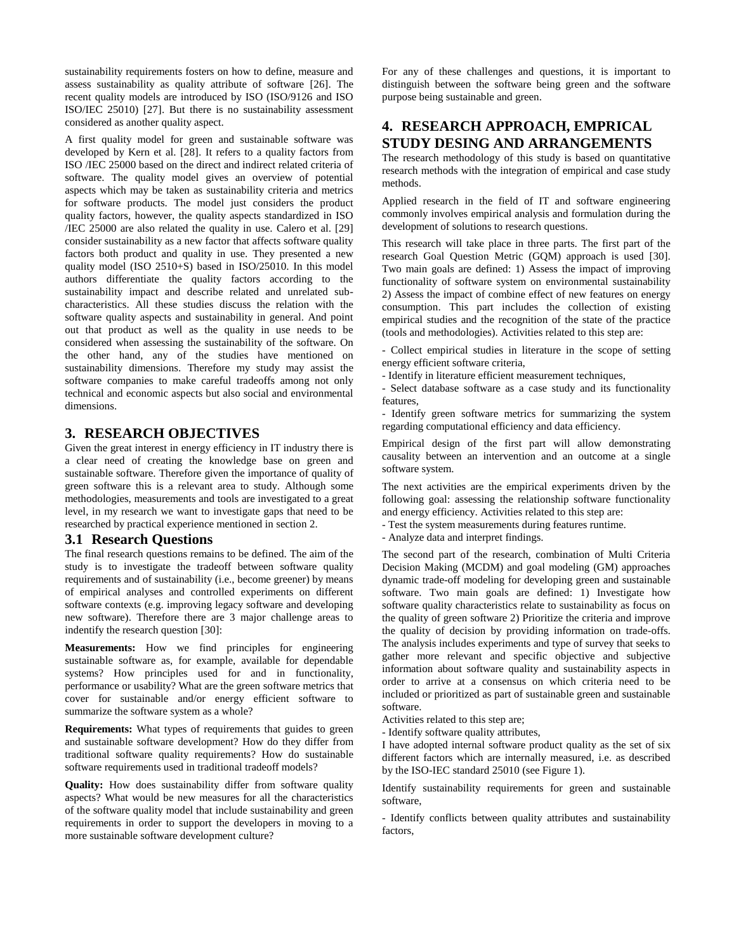sustainability requirements fosters on how to define, measure and assess sustainability as quality attribute of software [26]. The recent quality models are introduced by ISO (ISO/9126 and ISO ISO/IEC 25010) [27]. But there is no sustainability assessment considered as another quality aspect.

A first quality model for green and sustainable software was developed by Kern et al. [28]. It refers to a quality factors from ISO /IEC 25000 based on the direct and indirect related criteria of software. The quality model gives an overview of potential aspects which may be taken as sustainability criteria and metrics for software products. The model just considers the product quality factors, however, the quality aspects standardized in ISO /IEC 25000 are also related the quality in use. Calero et al. [29] consider sustainability as a new factor that affects software quality factors both product and quality in use. They presented a new quality model (ISO 2510+S) based in ISO/25010. In this model authors differentiate the quality factors according to the sustainability impact and describe related and unrelated subcharacteristics. All these studies discuss the relation with the software quality aspects and sustainability in general. And point out that product as well as the quality in use needs to be considered when assessing the sustainability of the software. On the other hand, any of the studies have mentioned on sustainability dimensions. Therefore my study may assist the software companies to make careful tradeoffs among not only technical and economic aspects but also social and environmental dimensions.

# **3. RESEARCH OBJECTIVES**

Given the great interest in energy efficiency in IT industry there is a clear need of creating the knowledge base on green and sustainable software. Therefore given the importance of quality of green software this is a relevant area to study. Although some methodologies, measurements and tools are investigated to a great level, in my research we want to investigate gaps that need to be researched by practical experience mentioned in section 2.

#### **3.1 Research Questions**

The final research questions remains to be defined. The aim of the study is to investigate the tradeoff between software quality requirements and of sustainability (i.e., become greener) by means of empirical analyses and controlled experiments on different software contexts (e.g. improving legacy software and developing new software). Therefore there are 3 major challenge areas to indentify the research question [30]:

**Measurements:** How we find principles for engineering sustainable software as, for example, available for dependable systems? How principles used for and in functionality, performance or usability? What are the green software metrics that cover for sustainable and/or energy efficient software to summarize the software system as a whole?

**Requirements:** What types of requirements that guides to green and sustainable software development? How do they differ from traditional software quality requirements? How do sustainable software requirements used in traditional tradeoff models?

**Quality:** How does sustainability differ from software quality aspects? What would be new measures for all the characteristics of the software quality model that include sustainability and green requirements in order to support the developers in moving to a more sustainable software development culture?

For any of these challenges and questions, it is important to distinguish between the software being green and the software purpose being sustainable and green.

# **4. RESEARCH APPROACH, EMPRICAL STUDY DESING AND ARRANGEMENTS**

The research methodology of this study is based on quantitative research methods with the integration of empirical and case study methods.

Applied research in the field of IT and software engineering commonly involves empirical analysis and formulation during the development of solutions to research questions.

This research will take place in three parts. The first part of the research Goal Question Metric (GQM) approach is used [30]. Two main goals are defined: 1) Assess the impact of improving functionality of software system on environmental sustainability 2) Assess the impact of combine effect of new features on energy consumption. This part includes the collection of existing empirical studies and the recognition of the state of the practice (tools and methodologies). Activities related to this step are:

- Collect empirical studies in literature in the scope of setting energy efficient software criteria,

- Identify in literature efficient measurement techniques,

- Select database software as a case study and its functionality features,

- Identify green software metrics for summarizing the system regarding computational efficiency and data efficiency.

Empirical design of the first part will allow demonstrating causality between an intervention and an outcome at a single software system.

The next activities are the empirical experiments driven by the following goal: assessing the relationship software functionality and energy efficiency. Activities related to this step are:

- Test the system measurements during features runtime.

- Analyze data and interpret findings.

The second part of the research, combination of Multi Criteria Decision Making (MCDM) and goal modeling (GM) approaches dynamic trade-off modeling for developing green and sustainable software. Two main goals are defined: 1) Investigate how software quality characteristics relate to sustainability as focus on the quality of green software 2) Prioritize the criteria and improve the quality of decision by providing information on trade-offs. The analysis includes experiments and type of survey that seeks to gather more relevant and specific objective and subjective information about software quality and sustainability aspects in order to arrive at a consensus on which criteria need to be included or prioritized as part of sustainable green and sustainable software.

Activities related to this step are;

- Identify software quality attributes,

I have adopted internal software product quality as the set of six different factors which are internally measured, i.e. as described by the ISO-IEC standard 25010 (see Figure 1).

Identify sustainability requirements for green and sustainable software,

- Identify conflicts between quality attributes and sustainability factors,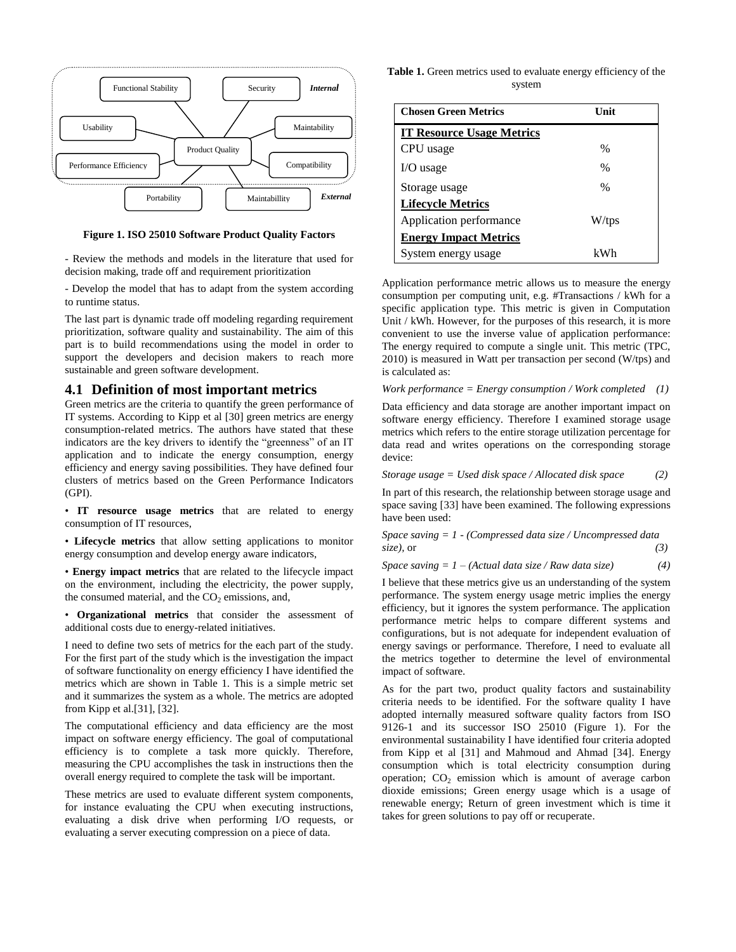

**Figure 1. ISO 25010 Software Product Quality Factors**

- Review the methods and models in the literature that used for decision making, trade off and requirement prioritization

- Develop the model that has to adapt from the system according to runtime status.

The last part is dynamic trade off modeling regarding requirement prioritization, software quality and sustainability. The aim of this part is to build recommendations using the model in order to support the developers and decision makers to reach more sustainable and green software development.

#### **4.1 Definition of most important metrics**

Green metrics are the criteria to quantify the green performance of IT systems. According to Kipp et al [30] green metrics are energy consumption-related metrics. The authors have stated that these indicators are the key drivers to identify the "greenness" of an IT application and to indicate the energy consumption, energy efficiency and energy saving possibilities. They have defined four clusters of metrics based on the Green Performance Indicators (GPI).

• **IT resource usage metrics** that are related to energy consumption of IT resources,

• **Lifecycle metrics** that allow setting applications to monitor energy consumption and develop energy aware indicators,

• **Energy impact metrics** that are related to the lifecycle impact on the environment, including the electricity, the power supply, the consumed material, and the  $CO<sub>2</sub>$  emissions, and,

• **Organizational metrics** that consider the assessment of additional costs due to energy-related initiatives.

I need to define two sets of metrics for the each part of the study. For the first part of the study which is the investigation the impact of software functionality on energy efficiency I have identified the metrics which are shown in Table 1. This is a simple metric set and it summarizes the system as a whole. The metrics are adopted from Kipp et al.[31], [32].

The computational efficiency and data efficiency are the most impact on software energy efficiency. The goal of computational efficiency is to complete a task more quickly. Therefore, measuring the CPU accomplishes the task in instructions then the overall energy required to complete the task will be important.

These metrics are used to evaluate different system components, for instance evaluating the CPU when executing instructions, evaluating a disk drive when performing I/O requests, or evaluating a server executing compression on a piece of data.

**Table 1.** Green metrics used to evaluate energy efficiency of the system

| <b>Chosen Green Metrics</b>      | Unit  |
|----------------------------------|-------|
| <b>IT Resource Usage Metrics</b> |       |
| CPU usage                        | $\%$  |
| I/O usage                        | $\%$  |
| Storage usage                    | $\%$  |
| <b>Lifecycle Metrics</b>         |       |
| Application performance          | W/tps |
| <b>Energy Impact Metrics</b>     |       |
| System energy usage              | kWh   |

Application performance metric allows us to measure the energy consumption per computing unit, e.g. #Transactions / kWh for a specific application type. This metric is given in Computation Unit / kWh. However, for the purposes of this research, it is more convenient to use the inverse value of application performance: The energy required to compute a single unit. This metric (TPC, 2010) is measured in Watt per transaction per second (W/tps) and is calculated as:

*Work performance = Energy consumption / Work completed (1)*

Data efficiency and data storage are another important impact on software energy efficiency. Therefore I examined storage usage metrics which refers to the entire storage utilization percentage for data read and writes operations on the corresponding storage device:

*Storage usage = Used disk space / Allocated disk space (2)*

In part of this research, the relationship between storage usage and space saving [33] have been examined. The following expressions have been used:

*Space saving = 1 - (Compressed data size / Uncompressed data size),* or *(3)*

*Space saving = 1 – (Actual data size / Raw data size) (4)*

I believe that these metrics give us an understanding of the system performance. The system energy usage metric implies the energy efficiency, but it ignores the system performance. The application performance metric helps to compare different systems and configurations, but is not adequate for independent evaluation of energy savings or performance. Therefore, I need to evaluate all the metrics together to determine the level of environmental impact of software.

As for the part two, product quality factors and sustainability criteria needs to be identified. For the software quality I have adopted internally measured software quality factors from ISO 9126-1 and its successor ISO 25010 (Figure 1). For the environmental sustainability I have identified four criteria adopted from Kipp et al [31] and Mahmoud and Ahmad [34]. Energy consumption which is total electricity consumption during operation;  $CO<sub>2</sub>$  emission which is amount of average carbon dioxide emissions; Green energy usage which is a usage of renewable energy; Return of green investment which is time it takes for green solutions to pay off or recuperate.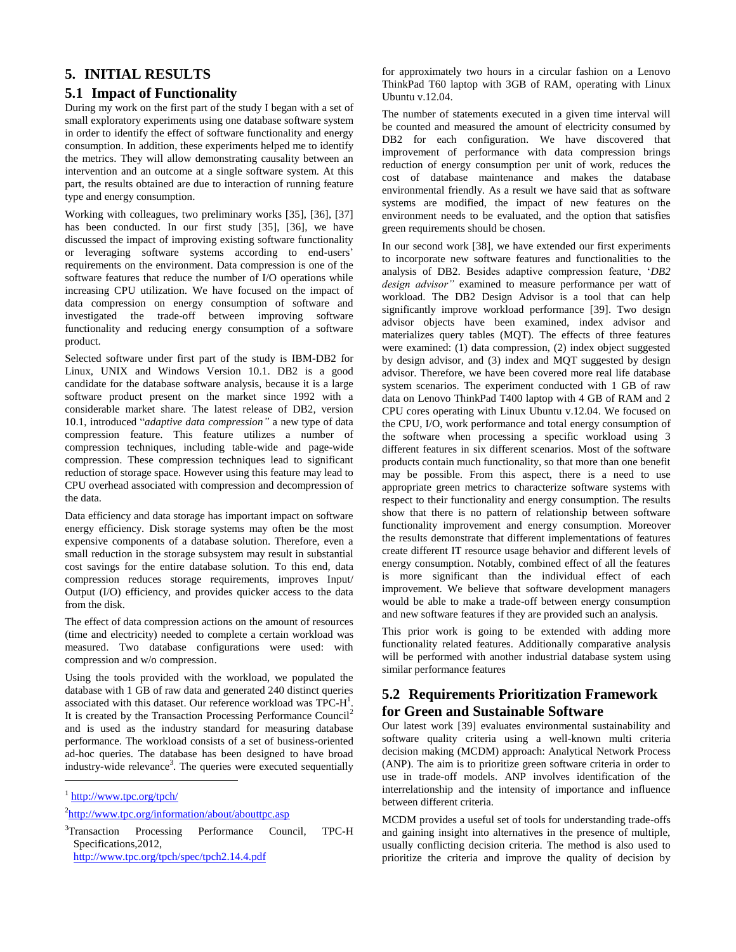# **5. INITIAL RESULTS**

# **5.1 Impact of Functionality**

During my work on the first part of the study I began with a set of small exploratory experiments using one database software system in order to identify the effect of software functionality and energy consumption. In addition, these experiments helped me to identify the metrics. They will allow demonstrating causality between an intervention and an outcome at a single software system. At this part, the results obtained are due to interaction of running feature type and energy consumption.

Working with colleagues, two preliminary works [35], [36], [37] has been conducted. In our first study [35], [36], we have discussed the impact of improving existing software functionality or leveraging software systems according to end-users' requirements on the environment. Data compression is one of the software features that reduce the number of I/O operations while increasing CPU utilization. We have focused on the impact of data compression on energy consumption of software and investigated the trade-off between improving software functionality and reducing energy consumption of a software product.

Selected software under first part of the study is IBM-DB2 for Linux, UNIX and Windows Version 10.1. DB2 is a good candidate for the database software analysis, because it is a large software product present on the market since 1992 with a considerable market share. The latest release of DB2, version 10.1, introduced "*adaptive data compression"* a new type of data compression feature. This feature utilizes a number of compression techniques, including table-wide and page-wide compression. These compression techniques lead to significant reduction of storage space. However using this feature may lead to CPU overhead associated with compression and decompression of the data.

Data efficiency and data storage has important impact on software energy efficiency. Disk storage systems may often be the most expensive components of a database solution. Therefore, even a small reduction in the storage subsystem may result in substantial cost savings for the entire database solution. To this end, data compression reduces storage requirements, improves Input/ Output (I/O) efficiency, and provides quicker access to the data from the disk.

The effect of data compression actions on the amount of resources (time and electricity) needed to complete a certain workload was measured. Two database configurations were used: with compression and w/o compression.

Using the tools provided with the workload, we populated the database with 1 GB of raw data and generated 240 distinct queries associated with this dataset. Our reference workload was  $TPC-H<sup>1</sup>$ . It is created by the Transaction Processing Performance Council<sup>2</sup> and is used as the industry standard for measuring database performance. The workload consists of a set of business-oriented ad-hoc queries. The database has been designed to have broad industry-wide relevance<sup>3</sup>. The queries were executed sequentially

 $\overline{a}$ 

<http://www.tpc.org/tpch/spec/tpch2.14.4.pdf>

for approximately two hours in a circular fashion on a Lenovo ThinkPad T60 laptop with 3GB of RAM, operating with Linux Ubuntu v.12.04.

The number of statements executed in a given time interval will be counted and measured the amount of electricity consumed by DB2 for each configuration. We have discovered that improvement of performance with data compression brings reduction of energy consumption per unit of work, reduces the cost of database maintenance and makes the database environmental friendly. As a result we have said that as software systems are modified, the impact of new features on the environment needs to be evaluated, and the option that satisfies green requirements should be chosen.

In our second work [38], we have extended our first experiments to incorporate new software features and functionalities to the analysis of DB2. Besides adaptive compression feature, '*DB2 design advisor"* examined to measure performance per watt of workload. The DB2 Design Advisor is a tool that can help significantly improve workload performance [39]. Two design advisor objects have been examined, index advisor and materializes query tables (MQT). The effects of three features were examined: (1) data compression, (2) index object suggested by design advisor, and (3) index and MQT suggested by design advisor. Therefore, we have been covered more real life database system scenarios. The experiment conducted with 1 GB of raw data on Lenovo ThinkPad T400 laptop with 4 GB of RAM and 2 CPU cores operating with Linux Ubuntu v.12.04. We focused on the CPU, I/O, work performance and total energy consumption of the software when processing a specific workload using 3 different features in six different scenarios. Most of the software products contain much functionality, so that more than one benefit may be possible. From this aspect, there is a need to use appropriate green metrics to characterize software systems with respect to their functionality and energy consumption. The results show that there is no pattern of relationship between software functionality improvement and energy consumption. Moreover the results demonstrate that different implementations of features create different IT resource usage behavior and different levels of energy consumption. Notably, combined effect of all the features is more significant than the individual effect of each improvement. We believe that software development managers would be able to make a trade-off between energy consumption and new software features if they are provided such an analysis.

This prior work is going to be extended with adding more functionality related features. Additionally comparative analysis will be performed with another industrial database system using similar performance features

# **5.2 Requirements Prioritization Framework for Green and Sustainable Software**

Our latest work [39] evaluates environmental sustainability and software quality criteria using a well-known multi criteria decision making (MCDM) approach: Analytical Network Process (ANP). The aim is to prioritize green software criteria in order to use in trade-off models. ANP involves identification of the interrelationship and the intensity of importance and influence between different criteria.

MCDM provides a useful set of tools for understanding trade-offs and gaining insight into alternatives in the presence of multiple, usually conflicting decision criteria. The method is also used to prioritize the criteria and improve the quality of decision by

<sup>1</sup> <http://www.tpc.org/tpch/>

<sup>&</sup>lt;sup>2</sup><http://www.tpc.org/information/about/abouttpc.asp>

<sup>&</sup>lt;sup>3</sup>Transaction Processing Performance Council, TPC-H Specifications,2012,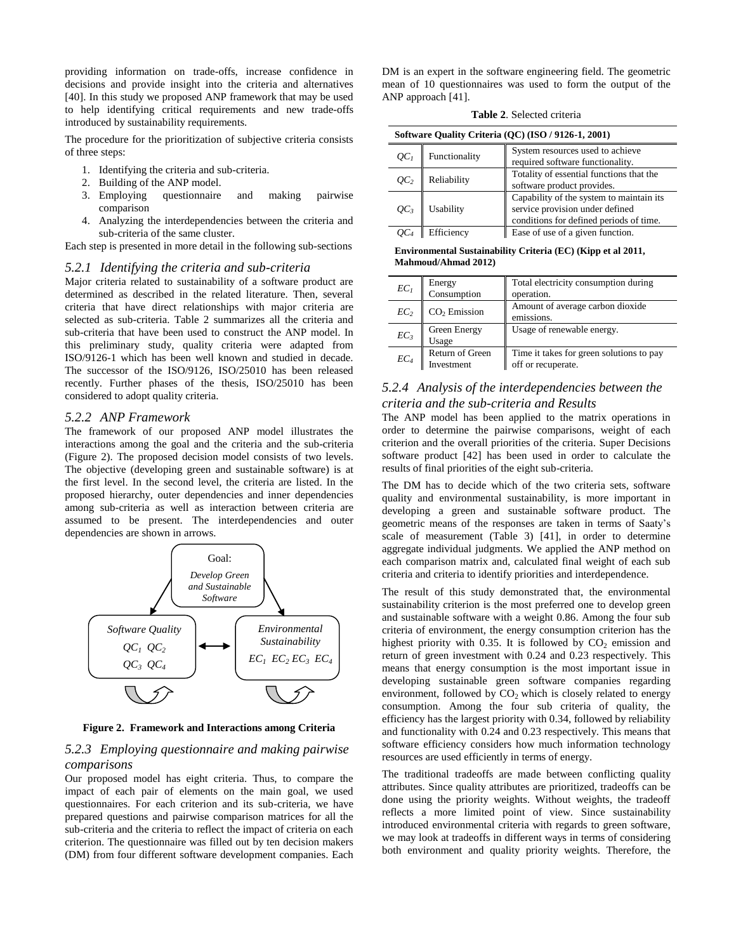providing information on trade-offs, increase confidence in decisions and provide insight into the criteria and alternatives [40]. In this study we proposed ANP framework that may be used to help identifying critical requirements and new trade-offs introduced by sustainability requirements.

The procedure for the prioritization of subjective criteria consists of three steps:

- 1. Identifying the criteria and sub-criteria.
- 2. Building of the ANP model.
- 3. Employing questionnaire and making pairwise comparison
- 4. Analyzing the interdependencies between the criteria and sub-criteria of the same cluster.

Each step is presented in more detail in the following sub-sections

#### *5.2.1 Identifying the criteria and sub-criteria*

Major criteria related to sustainability of a software product are determined as described in the related literature. Then, several criteria that have direct relationships with major criteria are selected as sub-criteria. Table 2 summarizes all the criteria and sub-criteria that have been used to construct the ANP model. In this preliminary study, quality criteria were adapted from ISO/9126-1 which has been well known and studied in decade. The successor of the ISO/9126, ISO/25010 has been released recently. Further phases of the thesis, ISO/25010 has been considered to adopt quality criteria.

#### *5.2.2 ANP Framework*

The framework of our proposed ANP model illustrates the interactions among the goal and the criteria and the sub-criteria (Figure 2). The proposed decision model consists of two levels. The objective (developing green and sustainable software) is at the first level. In the second level, the criteria are listed. In the proposed hierarchy, outer dependencies and inner dependencies among sub-criteria as well as interaction between criteria are assumed to be present. The interdependencies and outer dependencies are shown in arrows.



**Figure 2. Framework and Interactions among Criteria**

# *5.2.3 Employing questionnaire and making pairwise comparisons*

Our proposed model has eight criteria. Thus, to compare the impact of each pair of elements on the main goal, we used questionnaires. For each criterion and its sub-criteria, we have prepared questions and pairwise comparison matrices for all the sub-criteria and the criteria to reflect the impact of criteria on each criterion. The questionnaire was filled out by ten decision makers (DM) from four different software development companies. Each DM is an expert in the software engineering field. The geometric mean of 10 questionnaires was used to form the output of the ANP approach [41].

**Table 2**. Selected criteria

| Software Quality Criteria (QC) (ISO / 9126-1, 2001) |               |                                                                                                                        |
|-----------------------------------------------------|---------------|------------------------------------------------------------------------------------------------------------------------|
| OC <sub>1</sub>                                     | Functionality | System resources used to achieve<br>required software functionality.                                                   |
| OC <sub>2</sub>                                     | Reliability   | Totality of essential functions that the<br>software product provides.                                                 |
| QСз                                                 | Usability     | Capability of the system to maintain its<br>service provision under defined<br>conditions for defined periods of time. |
|                                                     | Efficiency    | Ease of use of a given function.                                                                                       |

**Environmental Sustainability Criteria (EC) (Kipp et al 2011, Mahmoud/Ahmad 2012)**

| $EC_I$          | Energy<br>Consumption         | Total electricity consumption during<br>operation.             |
|-----------------|-------------------------------|----------------------------------------------------------------|
| EC <sub>2</sub> | $CO2$ Emission                | Amount of average carbon dioxide<br>emissions.                 |
| $EC_3$          | Green Energy<br>Usage         | Usage of renewable energy.                                     |
| $EC_4$          | Return of Green<br>Investment | Time it takes for green solutions to pay<br>off or recuperate. |

# *5.2.4 Analysis of the interdependencies between the criteria and the sub-criteria and Results*

The ANP model has been applied to the matrix operations in order to determine the pairwise comparisons, weight of each criterion and the overall priorities of the criteria. Super Decisions software product [42] has been used in order to calculate the results of final priorities of the eight sub-criteria.

The DM has to decide which of the two criteria sets, software quality and environmental sustainability, is more important in developing a green and sustainable software product. The geometric means of the responses are taken in terms of Saaty's scale of measurement (Table 3) [41], in order to determine aggregate individual judgments. We applied the ANP method on each comparison matrix and, calculated final weight of each sub criteria and criteria to identify priorities and interdependence.

The result of this study demonstrated that, the environmental sustainability criterion is the most preferred one to develop green and sustainable software with a weight 0.86. Among the four sub criteria of environment, the energy consumption criterion has the highest priority with 0.35. It is followed by  $CO<sub>2</sub>$  emission and return of green investment with 0.24 and 0.23 respectively. This means that energy consumption is the most important issue in developing sustainable green software companies regarding environment, followed by  $CO<sub>2</sub>$  which is closely related to energy consumption. Among the four sub criteria of quality, the efficiency has the largest priority with 0.34, followed by reliability and functionality with 0.24 and 0.23 respectively. This means that software efficiency considers how much information technology resources are used efficiently in terms of energy.

The traditional tradeoffs are made between conflicting quality attributes. Since quality attributes are prioritized, tradeoffs can be done using the priority weights. Without weights, the tradeoff reflects a more limited point of view. Since sustainability introduced environmental criteria with regards to green software, we may look at tradeoffs in different ways in terms of considering both environment and quality priority weights. Therefore, the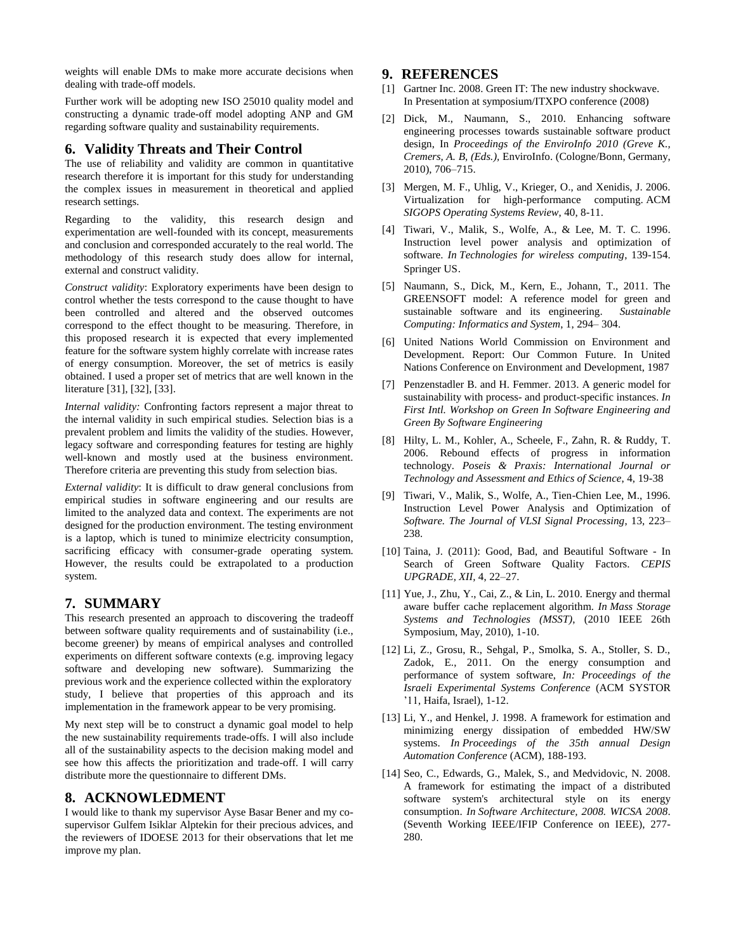weights will enable DMs to make more accurate decisions when dealing with trade-off models.

Further work will be adopting new ISO 25010 quality model and constructing a dynamic trade-off model adopting ANP and GM regarding software quality and sustainability requirements.

# **6. Validity Threats and Their Control**

The use of reliability and validity are common in quantitative research therefore it is important for this study for understanding the complex issues in measurement in theoretical and applied research settings.

Regarding to the validity, this research design and experimentation are well-founded with its concept, measurements and conclusion and corresponded accurately to the real world. The methodology of this research study does allow for internal, external and construct validity.

*Construct validity*: Exploratory experiments have been design to control whether the tests correspond to the cause thought to have been controlled and altered and the observed outcomes correspond to the effect thought to be measuring. Therefore, in this proposed research it is expected that every implemented feature for the software system highly correlate with increase rates of energy consumption. Moreover, the set of metrics is easily obtained. I used a proper set of metrics that are well known in the literature [31], [32], [33].

*Internal validity:* Confronting factors represent a major threat to the internal validity in such empirical studies. Selection bias is a prevalent problem and limits the validity of the studies. However, legacy software and corresponding features for testing are highly well-known and mostly used at the business environment. Therefore criteria are preventing this study from selection bias.

*External validity*: It is difficult to draw general conclusions from empirical studies in software engineering and our results are limited to the analyzed data and context. The experiments are not designed for the production environment. The testing environment is a laptop, which is tuned to minimize electricity consumption, sacrificing efficacy with consumer-grade operating system. However, the results could be extrapolated to a production system.

# **7. SUMMARY**

This research presented an approach to discovering the tradeoff between software quality requirements and of sustainability (i.e., become greener) by means of empirical analyses and controlled experiments on different software contexts (e.g. improving legacy software and developing new software). Summarizing the previous work and the experience collected within the exploratory study, I believe that properties of this approach and its implementation in the framework appear to be very promising.

My next step will be to construct a dynamic goal model to help the new sustainability requirements trade-offs. I will also include all of the sustainability aspects to the decision making model and see how this affects the prioritization and trade-off. I will carry distribute more the questionnaire to different DMs.

# **8. ACKNOWLEDMENT**

I would like to thank my supervisor Ayse Basar Bener and my cosupervisor Gulfem Isiklar Alptekin for their precious advices, and the reviewers of IDOESE 2013 for their observations that let me improve my plan.

# **9. REFERENCES**

- [1] Gartner Inc. 2008. Green IT: The new industry shockwave. In Presentation at symposium/ITXPO conference (2008)
- [2] Dick, M., Naumann, S., 2010. Enhancing software engineering processes towards sustainable software product design, In *Proceedings of the EnviroInfo 2010 (Greve K., Cremers, A. B, (Eds.),* EnviroInfo. (Cologne/Bonn, Germany, 2010), 706–715.
- [3] Mergen, M. F., Uhlig, V., Krieger, O., and Xenidis, J. 2006. Virtualization for high-performance computing. ACM *SIGOPS Operating Systems Review*, 40, 8-11.
- [4] Tiwari, V., Malik, S., Wolfe, A., & Lee, M. T. C. 1996. Instruction level power analysis and optimization of software. *In Technologies for wireless computing*, 139-154. Springer US.
- [5] Naumann, S., Dick, M., Kern, E., Johann, T., 2011. The GREENSOFT model: A reference model for green and sustainable software and its engineering. *Sustainable Computing: Informatics and System*, 1, 294– 304.
- [6] United Nations World Commission on Environment and Development. Report: Our Common Future. In United Nations Conference on Environment and Development, 1987
- [7] Penzenstadler B. and H. Femmer. 2013. A generic model for sustainability with process- and product-specific instances. *In First Intl. Workshop on Green In Software Engineering and Green By Software Engineering*
- [8] Hilty, L. M., Kohler, A., Scheele, F., Zahn, R. & Ruddy, T. 2006. Rebound effects of progress in information technology. *Poseis & Praxis: International Journal or Technology and Assessment and Ethics of Science*, 4, 19-38
- [9] Tiwari, V., Malik, S., Wolfe, A., Tien-Chien Lee, M., 1996. Instruction Level Power Analysis and Optimization of *Software. The Journal of VLSI Signal Processing*, 13, 223– 238.
- [10] Taina, J. (2011): Good, Bad, and Beautiful Software In Search of Green Software Quality Factors. *CEPIS UPGRADE, XII,* 4, 22–27.
- [11] Yue, J., Zhu, Y., Cai, Z., & Lin, L. 2010. Energy and thermal aware buffer cache replacement algorithm. *In Mass Storage Systems and Technologies (MSST)*, (2010 IEEE 26th Symposium, May, 2010), 1-10.
- [12] Li, Z., Grosu, R., Sehgal, P., Smolka, S. A., Stoller, S. D., Zadok, E., 2011. On the energy consumption and performance of system software, *In: Proceedings of the Israeli Experimental Systems Conference* (ACM SYSTOR '11, Haifa, Israel), 1-12.
- [13] Li, Y., and Henkel, J. 1998. A framework for estimation and minimizing energy dissipation of embedded HW/SW systems. *In Proceedings of the 35th annual Design Automation Conference* (ACM), 188-193.
- [14] Seo, C., Edwards, G., Malek, S., and Medvidovic, N. 2008. A framework for estimating the impact of a distributed software system's architectural style on its energy consumption. *In Software Architecture, 2008. WICSA 2008*. (Seventh Working IEEE/IFIP Conference on IEEE), 277- 280.